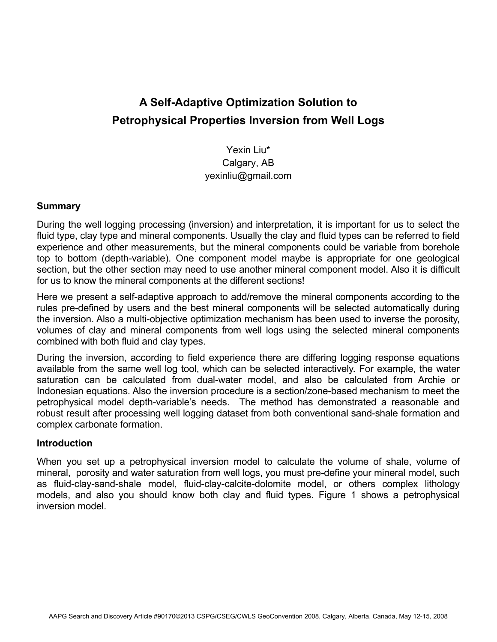# **A Self-Adaptive Optimization Solution to Petrophysical Properties Inversion from Well Logs**

Yexin Liu\* Calgary, AB yexinliu@gmail.com

#### **Summary**

During the well logging processing (inversion) and interpretation, it is important for us to select the fluid type, clay type and mineral components. Usually the clay and fluid types can be referred to field experience and other measurements, but the mineral components could be variable from borehole top to bottom (depth-variable). One component model maybe is appropriate for one geological section, but the other section may need to use another mineral component model. Also it is difficult for us to know the mineral components at the different sections!

Here we present a self-adaptive approach to add/remove the mineral components according to the rules pre-defined by users and the best mineral components will be selected automatically during the inversion. Also a multi-objective optimization mechanism has been used to inverse the porosity, volumes of clay and mineral components from well logs using the selected mineral components combined with both fluid and clay types.

During the inversion, according to field experience there are differing logging response equations available from the same well log tool, which can be selected interactively. For example, the water saturation can be calculated from dual-water model, and also be calculated from Archie or Indonesian equations. Also the inversion procedure is a section/zone-based mechanism to meet the petrophysical model depth-variable's needs. The method has demonstrated a reasonable and robust result after processing well logging dataset from both conventional sand-shale formation and complex carbonate formation.

#### **Introduction**

When you set up a petrophysical inversion model to calculate the volume of shale, volume of mineral, porosity and water saturation from well logs, you must pre-define your mineral model, such as fluid-clay-sand-shale model, fluid-clay-calcite-dolomite model, or others complex lithology models, and also you should know both clay and fluid types. Figure 1 shows a petrophysical inversion model.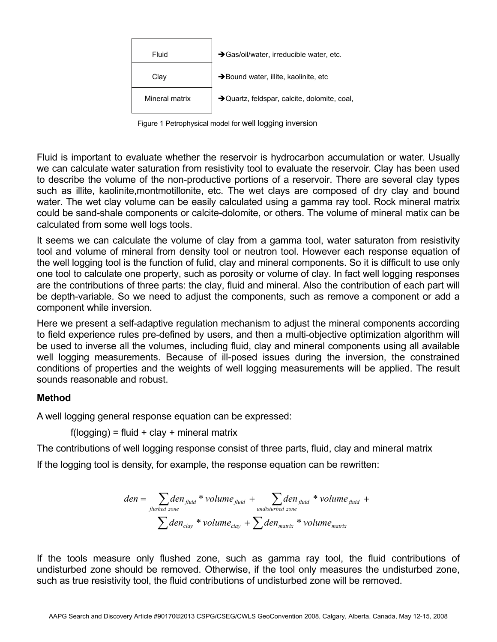| Fluid          | Sas/oil/water, irreducible water, etc.       |
|----------------|----------------------------------------------|
| Clav           | >Bound water, illite, kaolinite, etc         |
| Mineral matrix | → Quartz, feldspar, calcite, dolomite, coal, |

Figure 1 Petrophysical model for well logging inversion

Fluid is important to evaluate whether the reservoir is hydrocarbon accumulation or water. Usually we can calculate water saturation from resistivity tool to evaluate the reservoir. Clay has been used to describe the volume of the non-productive portions of a reservoir. There are several clay types such as illite, kaolinite,montmotillonite, etc. The wet clays are composed of dry clay and bound water. The wet clay volume can be easily calculated using a gamma ray tool. Rock mineral matrix could be sand-shale components or calcite-dolomite, or others. The volume of mineral matix can be calculated from some well logs tools.

It seems we can calculate the volume of clay from a gamma tool, water saturaton from resistivity tool and volume of mineral from density tool or neutron tool. However each response equation of the well logging tool is the function of fulid, clay and mineral components. So it is difficult to use only one tool to calculate one property, such as porosity or volume of clay. In fact well logging responses are the contributions of three parts: the clay, fluid and mineral. Also the contribution of each part will be depth-variable. So we need to adjust the components, such as remove a component or add a component while inversion.

Here we present a self-adaptive regulation mechanism to adjust the mineral components according to field experience rules pre-defined by users, and then a multi-objective optimization algorithm will be used to inverse all the volumes, including fluid, clay and mineral components using all available well logging measurements. Because of ill-posed issues during the inversion, the constrained conditions of properties and the weights of well logging measurements will be applied. The result sounds reasonable and robust.

#### **Method**

A well logging general response equation can be expressed:

 $f(logging) = fluid + clay + mineral matrix$ 

The contributions of well logging response consist of three parts, fluid, clay and mineral matrix

If the logging tool is density, for example, the response equation can be rewritten:

$$
den = \sum_{\text{flushed zone}} den_{\text{fluid}} * volume_{\text{fluid}} + \sum_{\text{undisturbed zone}} den_{\text{fluid}} * volume_{\text{fluid}} + \sum_{\text{dens.}} den_{\text{total}} * volume_{\text{fluid}}
$$

If the tools measure only flushed zone, such as gamma ray tool, the fluid contributions of undisturbed zone should be removed. Otherwise, if the tool only measures the undisturbed zone, such as true resistivity tool, the fluid contributions of undisturbed zone will be removed.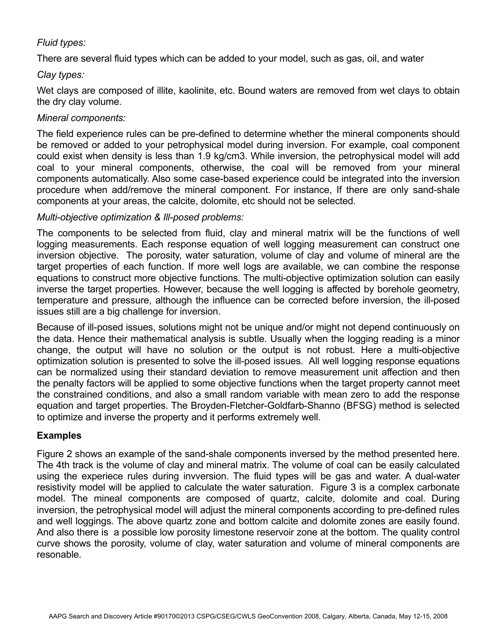# *Fluid types:*

There are several fluid types which can be added to your model, such as gas, oil, and water

#### *Clay types:*

Wet clays are composed of illite, kaolinite, etc. Bound waters are removed from wet clays to obtain the dry clay volume.

#### *Mineral components:*

The field experience rules can be pre-defined to determine whether the mineral components should be removed or added to your petrophysical model during inversion. For example, coal component could exist when density is less than 1.9 kg/cm3. While inversion, the petrophysical model will add coal to your mineral components, otherwise, the coal will be removed from your mineral components automatically. Also some case-based experience could be integrated into the inversion procedure when add/remove the mineral component. For instance, If there are only sand-shale components at your areas, the calcite, dolomite, etc should not be selected.

## *Multi-objective optimization & Ill-posed problems:*

The components to be selected from fluid, clay and mineral matrix will be the functions of well logging measurements. Each response equation of well logging measurement can construct one inversion objective. The porosity, water saturation, volume of clay and volume of mineral are the target properties of each function. If more well logs are available, we can combine the response equations to construct more objective functions. The multi-objective optimization solution can easily inverse the target properties. However, because the well logging is affected by borehole geometry, temperature and pressure, although the influence can be corrected before inversion, the ill-posed issues still are a big challenge for inversion.

Because of ill-posed issues, solutions might not be unique and/or might not depend continuously on the data. Hence their mathematical analysis is subtle. Usually when the logging reading is a minor change, the output will have no solution or the output is not robust. Here a multi-objective optimization solution is presented to solve the ill-posed issues. All well logging response equations can be normalized using their standard deviation to remove measurement unit affection and then the penalty factors will be applied to some objective functions when the target property cannot meet the constrained conditions, and also a small random variable with mean zero to add the response equation and target properties. The Broyden-Fletcher-Goldfarb-Shanno (BFSG) method is selected to optimize and inverse the property and it performs extremely well.

## **Examples**

Figure 2 shows an example of the sand-shale components inversed by the method presented here. The 4th track is the volume of clay and mineral matrix. The volume of coal can be easily calculated using the experiece rules during invversion. The fluid types will be gas and water. A dual-water resistivity model will be applied to calculate the water saturation. Figure 3 is a complex carbonate model. The mineal components are composed of quartz, calcite, dolomite and coal. During inversion, the petrophysical model will adjust the mineral components according to pre-defined rules and well loggings. The above quartz zone and bottom calcite and dolomite zones are easily found. And also there is a possible low porosity limestone reservoir zone at the bottom. The quality control curve shows the porosity, volume of clay, water saturation and volume of mineral components are resonable.